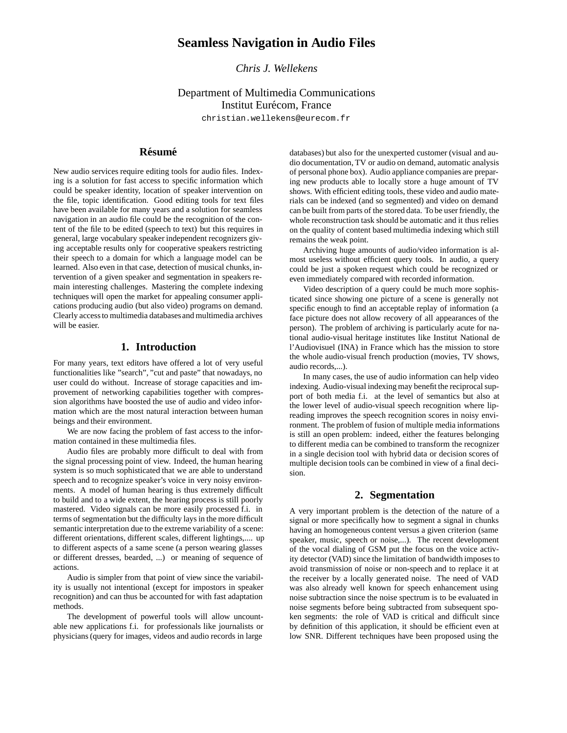# **Seamless Navigation in Audio Files**

*Chris J. Wellekens*

# Department of Multimedia Communications Institut Eurécom, France

christian.wellekens@eurecom.fr

# **Résumé**

New audio services require editing tools for audio files. Indexing is a solution for fast access to specific information which could be speaker identity, location of speaker intervention on the file, topic identification. Good editing tools for text files have been available for many years and a solution for seamless navigation in an audio file could be the recognition of the content of the file to be edited (speech to text) but this requires in general, large vocabulary speaker independent recognizers giving acceptable results only for cooperative speakers restricting their speech to a domain for which a language model can be learned. Also even in that case, detection of musical chunks, intervention of a given speaker and segmentation in speakers remain interesting challenges. Mastering the complete indexing techniques will open the market for appealing consumer applications producing audio (but also video) programs on demand. Clearly access to multimedia databasesand multimedia archives will be easier.

### **1. Introduction**

For many years, text editors have offered a lot of very useful functionalities like "search", "cut and paste" that nowadays, no user could do without. Increase of storage capacities and improvement of networking capabilities together with compression algorithms have boosted the use of audio and video information which are the most natural interaction between human beings and their environment.

We are now facing the problem of fast access to the information contained in these multimedia files.

Audio files are probably more difficult to deal with from the signal processing point of view. Indeed, the human hearing system is so much sophisticated that we are able to understand speech and to recognize speaker's voice in very noisy environments. A model of human hearing is thus extremely difficult to build and to a wide extent, the hearing process is still poorly mastered. Video signals can be more easily processed f.i. in terms of segmentation but the difficulty lays in the more difficult semantic interpretation due to the extreme variability of a scene: different orientations, different scales, different lightings,.... up to different aspects of a same scene (a person wearing glasses or different dresses, bearded, ...) or meaning of sequence of actions.

Audio is simpler from that point of view since the variability is usually not intentional (except for impostors in speaker recognition) and can thus be accounted for with fast adaptation methods.

The development of powerful tools will allow uncountable new applications f.i. for professionals like journalists or physicians (query for images, videos and audio records in large

databases) but also for the unexperted customer (visual and audio documentation, TV or audio on demand, automatic analysis of personal phone box). Audio appliance companies are preparing new products able to locally store a huge amount of TV shows. With efficient editing tools, these video and audio materials can be indexed (and so segmented) and video on demand can be built from parts of the stored data. To be user friendly, the whole reconstruction task should be automatic and it thus relies on the quality of content based multimedia indexing which still remains the weak point.

Archiving huge amounts of audio/video information is almost useless without efficient query tools. In audio, a query could be just a spoken request which could be recognized or even immediately compared with recorded information.

Video description of a query could be much more sophisticated since showing one picture of a scene is generally not specific enough to find an acceptable replay of information (a face picture does not allow recovery of all appearances of the person). The problem of archiving is particularly acute for national audio-visual heritage institutes like Institut National de l'Audiovisuel (INA) in France which has the mission to store the whole audio-visual french production (movies, TV shows, audio records,...).

In many cases, the use of audio information can help video indexing. Audio-visual indexing may benefit the reciprocal support of both media f.i. at the level of semantics but also at the lower level of audio-visual speech recognition where lipreading improves the speech recognition scores in noisy environment. The problem of fusion of multiple media informations is still an open problem: indeed, either the features belonging to different media can be combined to transform the recognizer in a single decision tool with hybrid data or decision scores of multiple decision tools can be combined in view of a final decision.

## **2. Segmentation**

A very important problem is the detection of the nature of a signal or more specifically how to segment a signal in chunks having an homogeneous content versus a given criterion (same speaker, music, speech or noise,...). The recent development of the vocal dialing of GSM put the focus on the voice activity detector (VAD) since the limitation of bandwidth imposes to avoid transmission of noise or non-speech and to replace it at the receiver by a locally generated noise. The need of VAD was also already well known for speech enhancement using noise subtraction since the noise spectrum is to be evaluated in noise segments before being subtracted from subsequent spoken segments: the role of VAD is critical and difficult since by definition of this application, it should be efficient even at low SNR. Different techniques have been proposed using the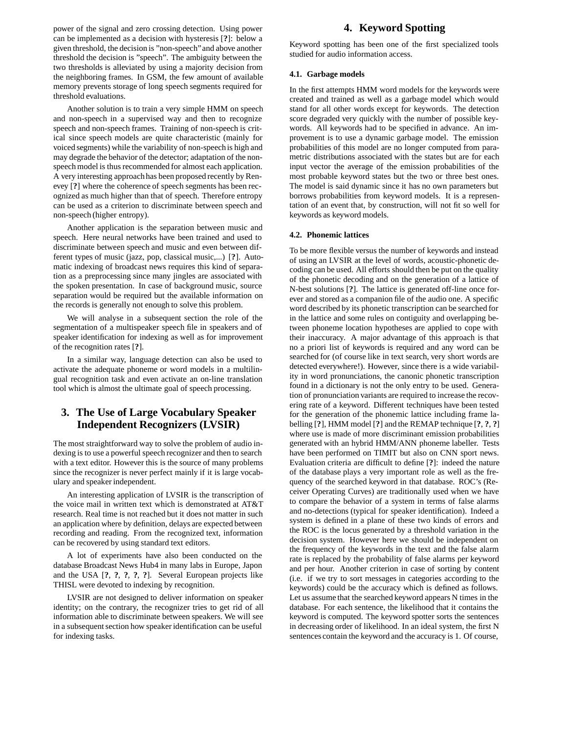power of the signal and zero crossing detection. Using power can be implemented as a decision with hysteresis [**?**]: below a given threshold, the decision is "non-speech"and above another threshold the decision is "speech". The ambiguity between the two thresholds is alleviated by using a majority decision from the neighboring frames. In GSM, the few amount of available memory prevents storage of long speech segments required for threshold evaluations.

Another solution is to train a very simple HMM on speech and non-speech in a supervised way and then to recognize speech and non-speech frames. Training of non-speech is critical since speech models are quite characteristic (mainly for voiced segments) while the variability of non-speech is high and may degrade the behavior of the detector; adaptation of the nonspeech model is thus recommended for almost each application. A very interesting approach has been proposed recently by Renevey [**?**] where the coherence of speech segments has been recognized as much higher than that of speech. Therefore entropy can be used as a criterion to discriminate between speech and non-speech (higher entropy).

Another application is the separation between music and speech. Here neural networks have been trained and used to discriminate between speech and music and even between different types of music (jazz, pop, classical music,...) [**?**]. Automatic indexing of broadcast news requires this kind of separation as a preprocessing since many jingles are associated with the spoken presentation. In case of background music, source separation would be required but the available information on the records is generally not enough to solve this problem.

We will analyse in a subsequent section the role of the segmentation of a multispeaker speech file in speakers and of speaker identification for indexing as well as for improvement of the recognition rates [**?**].

In a similar way, language detection can also be used to activate the adequate phoneme or word models in a multilingual recognition task and even activate an on-line translation tool which is almost the ultimate goal of speech processing.

### **3. The Use of Large Vocabulary Speaker Independent Recognizers (LVSIR)**

The most straightforward way to solve the problem of audio indexing is to use a powerful speech recognizer and then to search with a text editor. However this is the source of many problems since the recognizer is never perfect mainly if it is large vocabulary and speaker independent.

An interesting application of LVSIR is the transcription of the voice mail in written text which is demonstrated at AT&T research. Real time is not reached but it does not matter in such an application where by definition, delays are expected between recording and reading. From the recognized text, information can be recovered by using standard text editors.

A lot of experiments have also been conducted on the database Broadcast News Hub4 in many labs in Europe, Japon and the USA [**?**, **?**, **?**, **?**, **?**]. Several European projects like THISL were devoted to indexing by recognition.

LVSIR are not designed to deliver information on speaker identity; on the contrary, the recognizer tries to get rid of all information able to discriminate between speakers. We will see in a subsequent section how speaker identification can be useful for indexing tasks.

# **4. Keyword Spotting**

Keyword spotting has been one of the first specialized tools studied for audio information access.

#### **4.1. Garbage models**

In the first attempts HMM word models for the keywords were created and trained as well as a garbage model which would stand for all other words except for keywords. The detection score degraded very quickly with the number of possible keywords. All keywords had to be specified in advance. An improvement is to use a dynamic garbage model. The emission probabilities of this model are no longer computed from parametric distributions associated with the states but are for each input vector the average of the emission probabilities of the most probable keyword states but the two or three best ones. The model is said dynamic since it has no own parameters but borrows probabilities from keyword models. It is a representation of an event that, by construction, will not fit so well for keywords as keyword models.

#### **4.2. Phonemic lattices**

To be more flexible versus the number of keywords and instead of using an LVSIR at the level of words, acoustic-phonetic decoding can be used. All efforts should then be put on the quality of the phonetic decoding and on the generation of a lattice of N-best solutions [**?**]. The lattice is generated off-line once forever and stored as a companion file of the audio one. A specific word described by its phonetic transcription can be searched for in the lattice and some rules on contiguity and overlapping between phoneme location hypotheses are applied to cope with their inaccuracy. A major advantage of this approach is that no a priori list of keywords is required and any word can be searched for (of course like in text search, very short words are detected everywhere!). However, since there is a wide variability in word pronunciations, the canonic phonetic transcription found in a dictionary is not the only entry to be used. Generation of pronunciation variants are required to increase the recovering rate of a keyword. Different techniques have been tested for the generation of the phonemic lattice including frame labelling [**?**], HMM model [**?**] and the REMAP technique [**?**, **?**, **?**] where use is made of more discriminant emission probabilities generated with an hybrid HMM/ANN phoneme labeller. Tests have been performed on TIMIT but also on CNN sport news. Evaluation criteria are difficult to define [**?**]: indeed the nature of the database plays a very important role as well as the frequency of the searched keyword in that database. ROC's (Receiver Operating Curves) are traditionally used when we have to compare the behavior of a system in terms of false alarms and no-detections (typical for speaker identification). Indeed a system is defined in a plane of these two kinds of errors and the ROC is the locus generated by a threshold variation in the decision system. However here we should be independent on the frequency of the keywords in the text and the false alarm rate is replaced by the probability of false alarms per keyword and per hour. Another criterion in case of sorting by content (i.e. if we try to sort messages in categories according to the keywords) could be the accuracy which is defined as follows. Let us assume that the searched keyword appears N times in the database. For each sentence, the likelihood that it contains the keyword is computed. The keyword spotter sorts the sentences in decreasing order of likelihood. In an ideal system, the first N sentences contain the keyword and the accuracy is 1. Of course,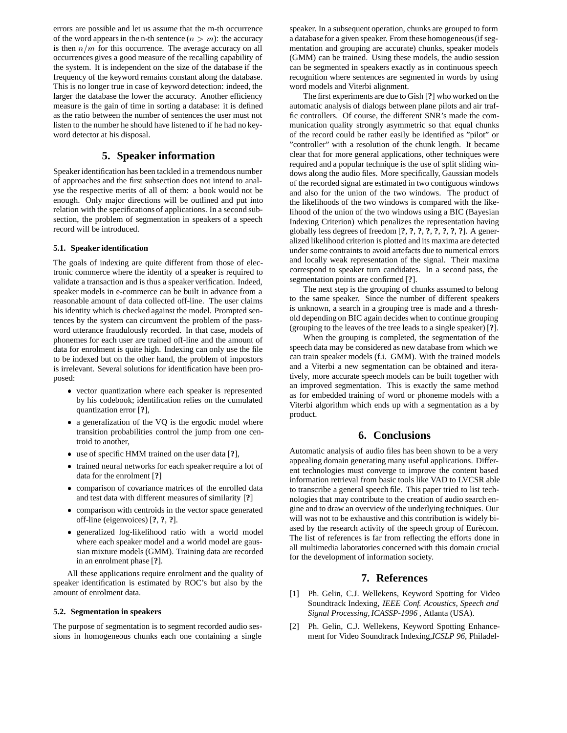errors are possible and let us assume that the m-th occurrence of the word appears in the n-th sentence  $(n>m)$ : the accuracy is then  $n/m$  for this occurrence. The average accuracy on all occurrences gives a good measure of the recalling capability of the system. It is independent on the size of the database if the frequency of the keyword remains constant along the database. This is no longer true in case of keyword detection: indeed, the larger the database the lower the accuracy. Another efficiency measure is the gain of time in sorting a database: it is defined as the ratio between the number of sentences the user must not listen to the number he should have listened to if he had no keyword detector at his disposal.

### **5. Speaker information**

Speaker identification has been tackled in a tremendous number of approaches and the first subsection does not intend to analyse the respective merits of all of them: a book would not be enough. Only major directions will be outlined and put into relation with the specifications of applications. In a second subsection, the problem of segmentation in speakers of a speech record will be introduced.

#### **5.1. Speaker identification**

The goals of indexing are quite different from those of electronic commerce where the identity of a speaker is required to validate a transaction and is thus a speaker verification. Indeed, speaker models in e-commerce can be built in advance from a reasonable amount of data collected off-line. The user claims his identity which is checked against the model. Prompted sentences by the system can circumvent the problem of the password utterance fraudulously recorded. In that case, models of phonemes for each user are trained off-line and the amount of data for enrolment is quite high. Indexing can only use the file to be indexed but on the other hand, the problem of impostors is irrelevant. Several solutions for identification have been proposed:

- vector quantization where each speaker is represented by his codebook; identification relies on the cumulated quantization error [**?**],
- a generalization of the VQ is the ergodic model where transition probabilities control the jump from one centroid to another,
- use of specific HMM trained on the user data [**?**],
- trained neural networks for each speaker require a lot of data for the enrolment [**?**]
- comparison of covariance matrices of the enrolled data and test data with different measures of similarity [**?**]
- comparison with centroids in the vector space generated off-line (eigenvoices) [**?**, **?**, **?**].
- generalized log-likelihood ratio with a world model where each speaker model and a world model are gaussian mixture models (GMM). Training data are recorded in an enrolment phase [**?**].

All these applications require enrolment and the quality of speaker identification is estimated by ROC's but also by the amount of enrolment data.

#### **5.2. Segmentation in speakers**

The purpose of segmentation is to segment recorded audio sessions in homogeneous chunks each one containing a single speaker. In a subsequent operation, chunks are grouped to form a databasefor a given speaker. From these homogeneous(if segmentation and grouping are accurate) chunks, speaker models (GMM) can be trained. Using these models, the audio session can be segmented in speakers exactly as in continuous speech recognition where sentences are segmented in words by using word models and Viterbi alignment.

The first experiments are due to Gish [**?**] who worked on the automatic analysis of dialogs between plane pilots and air traffic controllers. Of course, the different SNR's made the communication quality strongly asymmetric so that equal chunks of the record could be rather easily be identified as "pilot" or "controller" with a resolution of the chunk length. It became clear that for more general applications, other techniques were required and a popular technique is the use of split sliding windows along the audio files. More specifically, Gaussian models of the recorded signal are estimated in two contiguous windows and also for the union of the two windows. The product of the likelihoods of the two windows is compared with the likelihood of the union of the two windows using a BIC (Bayesian Indexing Criterion) which penalizes the representation having globally less degrees of freedom [**?**, **?**, **?**, **?**, **?**, **?**, **?**, **?**]. A generalized likelihood criterion is plotted and its maxima are detected under some contraints to avoid artefacts due to numerical errors and locally weak representation of the signal. Their maxima correspond to speaker turn candidates. In a second pass, the segmentation points are confirmed [**?**].

The next step is the grouping of chunks assumed to belong to the same speaker. Since the number of different speakers is unknown, a search in a grouping tree is made and a threshold depending on BIC again decides when to continue grouping (grouping to the leaves of the tree leads to a single speaker) [**?**].

When the grouping is completed, the segmentation of the speech data may be considered as new database from which we can train speaker models (f.i. GMM). With the trained models and a Viterbi a new segmentation can be obtained and iteratively, more accurate speech models can be built together with an improved segmentation. This is exactly the same method as for embedded training of word or phoneme models with a Viterbi algorithm which ends up with a segmentation as a by product.

### **6. Conclusions**

Automatic analysis of audio files has been shown to be a very appealing domain generating many useful applications. Different technologies must converge to improve the content based information retrieval from basic tools like VAD to LVCSR able to transcribe a general speech file. This paper tried to list technologies that may contribute to the creation of audio search engine and to draw an overview of the underlying techniques. Our will was not to be exhaustive and this contribution is widely biased by the research activity of the speech group of Eurécom. The list of references is far from reflecting the efforts done in all multimedia laboratories concerned with this domain crucial for the development of information society.

#### **7. References**

- [1] Ph. Gelin, C.J. Wellekens, Keyword Spotting for Video Soundtrack Indexing, *IEEE Conf. Acoustics, Speech and Signal Processing, ICASSP-1996* , Atlanta (USA).
- [2] Ph. Gelin, C.J. Wellekens, Keyword Spotting Enhancement for Video Soundtrack Indexing,*ICSLP 96*, Philadel-